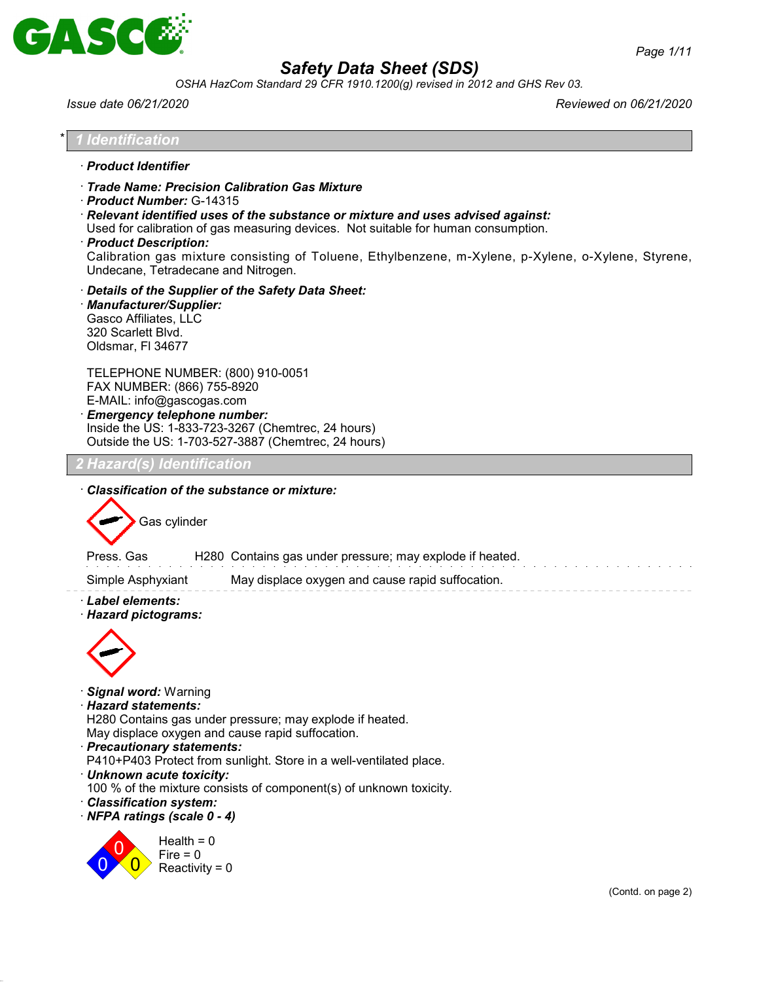

*OSHA HazCom Standard 29 CFR 1910.1200(g) revised in 2012 and GHS Rev 03.*

*Issue date 06/21/2020 Reviewed on 06/21/2020*

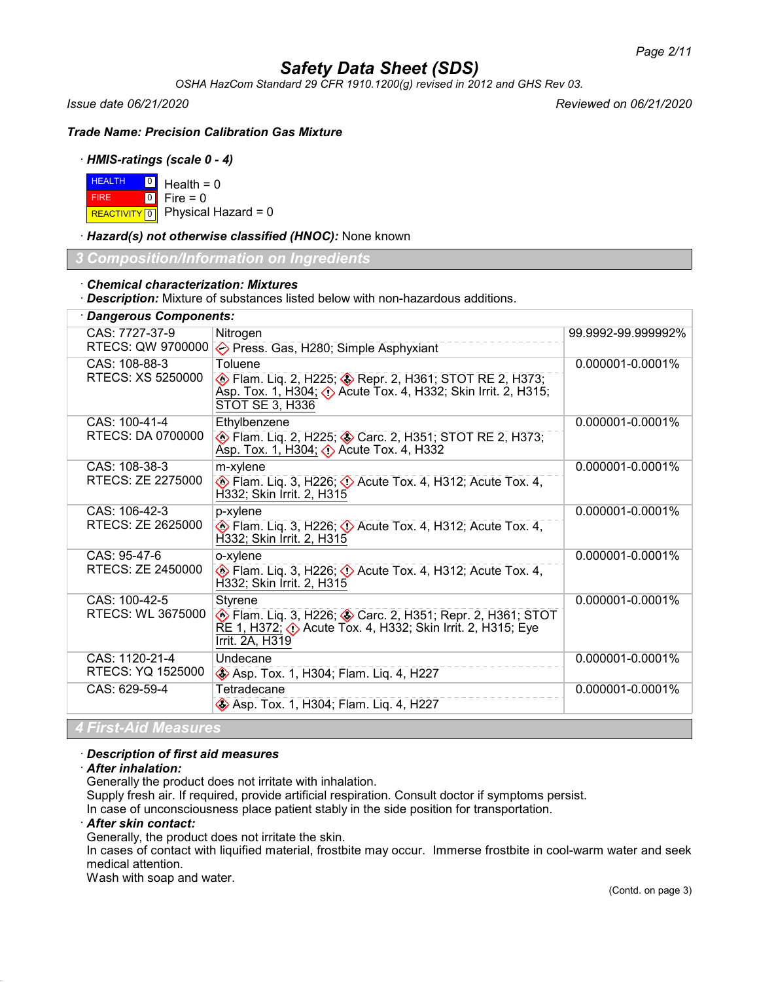*OSHA HazCom Standard 29 CFR 1910.1200(g) revised in 2012 and GHS Rev 03.*

*Issue date 06/21/2020 Reviewed on 06/21/2020*

*Trade Name: Precision Calibration Gas Mixture*

### · *HMIS-ratings (scale 0 - 4)*

**HEALTH**  FIRE REACTIVITY 0  $\frac{0}{5}$  Health = 0  $\boxed{0}$ Fire  $= 0$ Physical Hazard = 0

· *Hazard(s) not otherwise classified (HNOC):* None known

*3 Composition/Information on Ingredients*

#### · *Chemical characterization: Mixtures*

· *Description:* Mixture of substances listed below with non-hazardous additions.

| <b>Dangerous Components:</b> |                                                                                                                                                                 |                    |  |
|------------------------------|-----------------------------------------------------------------------------------------------------------------------------------------------------------------|--------------------|--|
| CAS: 7727-37-9               | Nitrogen                                                                                                                                                        | 99.9992-99.999992% |  |
| RTECS: QW 9700000            | ◆ Press. Gas, H280; Simple Asphyxiant                                                                                                                           |                    |  |
| CAS: 108-88-3                | Toluene                                                                                                                                                         | 0.000001-0.0001%   |  |
| RTECS: XS 5250000            | Elam. Liq. 2, H225;  sepr. 2, H361; STOT RE 2, H373;<br>Asp. Tox. 1, H304; $\diamondsuit$ Acute Tox. 4, H332; Skin Irrit. 2, H315;<br><b>STOT SE 3, H336</b>    |                    |  |
| CAS: 100-41-4                | Ethylbenzene                                                                                                                                                    | 0.000001-0.0001%   |  |
| RTECS: DA 0700000            | Elam. Liq. 2, H225;  stars 2, H351; STOT RE 2, H373;<br>Asp. Tox. 1, H304; $\diamond$ Acute Tox. 4, H332                                                        |                    |  |
| CAS: 108-38-3                | m-xylene                                                                                                                                                        | 0.000001-0.0001%   |  |
| RTECS: ZE 2275000            | $\circledast$ Flam. Liq. 3, H226; $\circledast$ Acute Tox. 4, H312; Acute Tox. 4,<br>H332; Skin Irrit. 2, H315                                                  |                    |  |
| CAS: 106-42-3                | p-xylene                                                                                                                                                        | 0.000001-0.0001%   |  |
| RTECS: ZE 2625000            | $\diamondsuit$ Flam. Liq. 3, H226; $\diamondsuit$ Acute Tox. 4, H312; Acute Tox. 4,<br>H332; Skin Irrit. 2, H315                                                |                    |  |
| CAS: 95-47-6                 | o-xylene                                                                                                                                                        | 0.000001-0.0001%   |  |
| RTECS: ZE 2450000            | <b>Elam.</b> Liq. 3, H226; $\Diamond$ Acute Tox. 4, H312; Acute Tox. 4,<br>H332; Skin Irrit. 2, H315                                                            |                    |  |
| CAS: 100-42-5                | Styrene                                                                                                                                                         | 0.000001-0.0001%   |  |
| RTECS: WL 3675000            | Elam. Liq. 3, H226; Carc. 2, H351; Repr. 2, H361; STOT<br>$RE$ 1, H372; $\langle \cdot \rangle$ Acute Tox. 4, H332; Skin Irrit. 2, H315; Eye<br>Irrit. 2A, H319 |                    |  |
| CAS: 1120-21-4               | Undecane                                                                                                                                                        | 0.000001-0.0001%   |  |
| RTECS: YQ 1525000            | <b>Example 25 Asp. Tox. 1, H304; Flam. Lig. 4, H227</b>                                                                                                         |                    |  |
| CAS: 629-59-4                | Tetradecane                                                                                                                                                     | 0.000001-0.0001%   |  |
|                              | <b>S</b> Asp. Tox. 1, H304; Flam. Liq. 4, H227                                                                                                                  |                    |  |
| <b>4 First-Aid Measures</b>  |                                                                                                                                                                 |                    |  |

### · *Description of first aid measures*

#### · *After inhalation:*

Generally the product does not irritate with inhalation.

Supply fresh air. If required, provide artificial respiration. Consult doctor if symptoms persist.

In case of unconsciousness place patient stably in the side position for transportation.

### · *After skin contact:*

Generally, the product does not irritate the skin.

In cases of contact with liquified material, frostbite may occur. Immerse frostbite in cool-warm water and seek medical attention.

Wash with soap and water.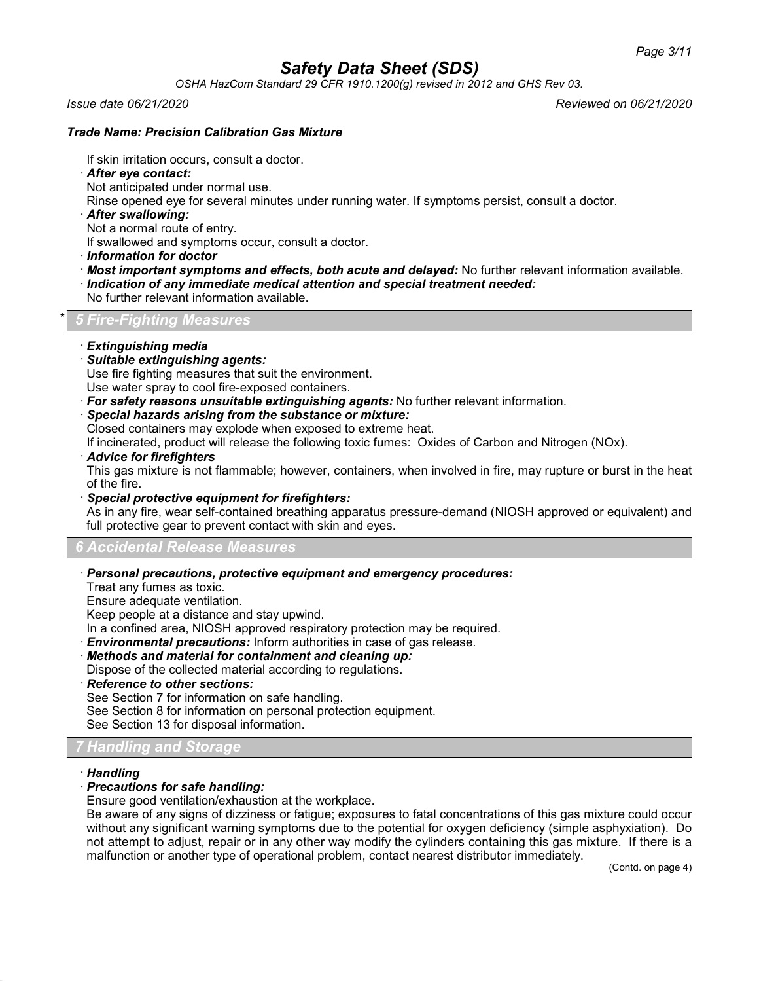*OSHA HazCom Standard 29 CFR 1910.1200(g) revised in 2012 and GHS Rev 03.*

*Issue date 06/21/2020 Reviewed on 06/21/2020*

### *Trade Name: Precision Calibration Gas Mixture*

If skin irritation occurs, consult a doctor.

· *After eye contact:*

Not anticipated under normal use.

Rinse opened eye for several minutes under running water. If symptoms persist, consult a doctor.

· *After swallowing:*

Not a normal route of entry.

If swallowed and symptoms occur, consult a doctor.

- · *Information for doctor*
- · *Most important symptoms and effects, both acute and delayed:* No further relevant information available.
- · *Indication of any immediate medical attention and special treatment needed:* No further relevant information available.

\* *5 Fire-Fighting Measures*

- · *Extinguishing media*
- · *Suitable extinguishing agents:*

Use fire fighting measures that suit the environment.

Use water spray to cool fire-exposed containers.

- · *For safety reasons unsuitable extinguishing agents:* No further relevant information.
- · *Special hazards arising from the substance or mixture:*

Closed containers may explode when exposed to extreme heat.

If incinerated, product will release the following toxic fumes: Oxides of Carbon and Nitrogen (NOx).

· *Advice for firefighters*

This gas mixture is not flammable; however, containers, when involved in fire, may rupture or burst in the heat of the fire.

· *Special protective equipment for firefighters:*

As in any fire, wear self-contained breathing apparatus pressure-demand (NIOSH approved or equivalent) and full protective gear to prevent contact with skin and eyes.

### *6 Accidental Release Measures*

· *Personal precautions, protective equipment and emergency procedures:*

Treat any fumes as toxic.

Ensure adequate ventilation.

Keep people at a distance and stay upwind.

In a confined area, NIOSH approved respiratory protection may be required.

- · *Environmental precautions:* Inform authorities in case of gas release.
- · *Methods and material for containment and cleaning up:* Dispose of the collected material according to regulations.
- · *Reference to other sections:*

See Section 7 for information on safe handling.

See Section 8 for information on personal protection equipment.

See Section 13 for disposal information.

### *7 Handling and Storage*

### · *Handling*

### · *Precautions for safe handling:*

Ensure good ventilation/exhaustion at the workplace.

Be aware of any signs of dizziness or fatigue; exposures to fatal concentrations of this gas mixture could occur without any significant warning symptoms due to the potential for oxygen deficiency (simple asphyxiation). Do not attempt to adjust, repair or in any other way modify the cylinders containing this gas mixture. If there is a malfunction or another type of operational problem, contact nearest distributor immediately.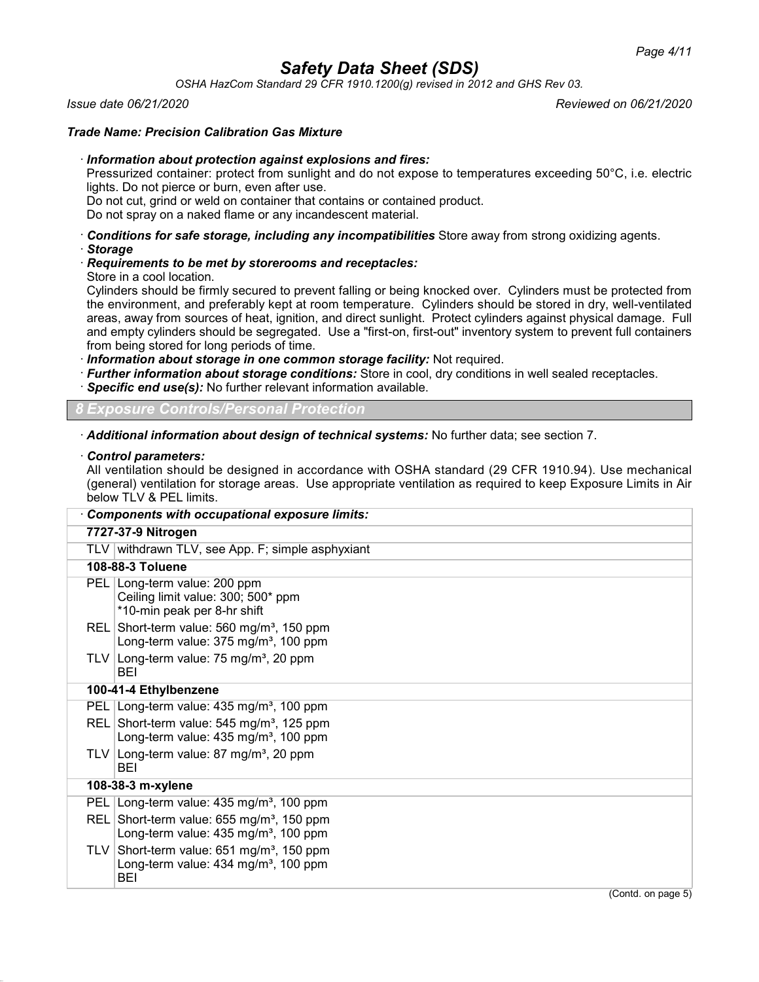*OSHA HazCom Standard 29 CFR 1910.1200(g) revised in 2012 and GHS Rev 03.*

*Issue date 06/21/2020 Reviewed on 06/21/2020*

# *Trade Name: Precision Calibration Gas Mixture*

### · *Information about protection against explosions and fires:*

Pressurized container: protect from sunlight and do not expose to temperatures exceeding 50°C, i.e. electric lights. Do not pierce or burn, even after use.

Do not cut, grind or weld on container that contains or contained product.

Do not spray on a naked flame or any incandescent material.

· *Conditions for safe storage, including any incompatibilities* Store away from strong oxidizing agents. · *Storage*

### · *Requirements to be met by storerooms and receptacles:*

Store in a cool location.

Cylinders should be firmly secured to prevent falling or being knocked over. Cylinders must be protected from the environment, and preferably kept at room temperature. Cylinders should be stored in dry, well-ventilated areas, away from sources of heat, ignition, and direct sunlight. Protect cylinders against physical damage. Full and empty cylinders should be segregated. Use a "first-on, first-out" inventory system to prevent full containers from being stored for long periods of time.

· *Information about storage in one common storage facility:* Not required.

- · *Further information about storage conditions:* Store in cool, dry conditions in well sealed receptacles.
- · *Specific end use(s):* No further relevant information available.

*8 Exposure Controls/Personal Protection*

· *Additional information about design of technical systems:* No further data; see section 7.

### · *Control parameters:*

All ventilation should be designed in accordance with OSHA standard (29 CFR 1910.94). Use mechanical (general) ventilation for storage areas. Use appropriate ventilation as required to keep Exposure Limits in Air below TLV & PEL limits.

| <b>Components with occupational exposure limits:</b>                                                            |
|-----------------------------------------------------------------------------------------------------------------|
| 7727-37-9 Nitrogen                                                                                              |
| TLV withdrawn TLV, see App. F; simple asphyxiant                                                                |
| 108-88-3 Toluene                                                                                                |
| PEL Long-term value: 200 ppm<br>Ceiling limit value: 300; 500* ppm<br>*10-min peak per 8-hr shift               |
| REL Short-term value: 560 mg/m <sup>3</sup> , 150 ppm<br>Long-term value: $375 \text{ mg/m}^3$ , 100 ppm        |
| TLV Long-term value: $75 \text{ mg/m}^3$ , 20 ppm<br>BEI                                                        |
| 100-41-4 Ethylbenzene                                                                                           |
| PEL Long-term value: 435 mg/m <sup>3</sup> , 100 ppm                                                            |
| REL Short-term value: 545 mg/m <sup>3</sup> , 125 ppm<br>Long-term value: $435 \text{ mg/m}^3$ , 100 ppm        |
| TLV Long-term value: 87 mg/m <sup>3</sup> , 20 ppm<br>BEI                                                       |
| 108-38-3 m-xylene                                                                                               |
| PEL Long-term value: 435 mg/m <sup>3</sup> , 100 ppm                                                            |
| REL Short-term value: $655 \text{ mg/m}^3$ , 150 ppm<br>Long-term value: 435 mg/m <sup>3</sup> , 100 ppm        |
| TLV Short-term value: $651 \text{ mg/m}^3$ , 150 ppm<br>Long-term value: 434 mg/m <sup>3</sup> , 100 ppm<br>BEI |
| (Contd. on page 5)                                                                                              |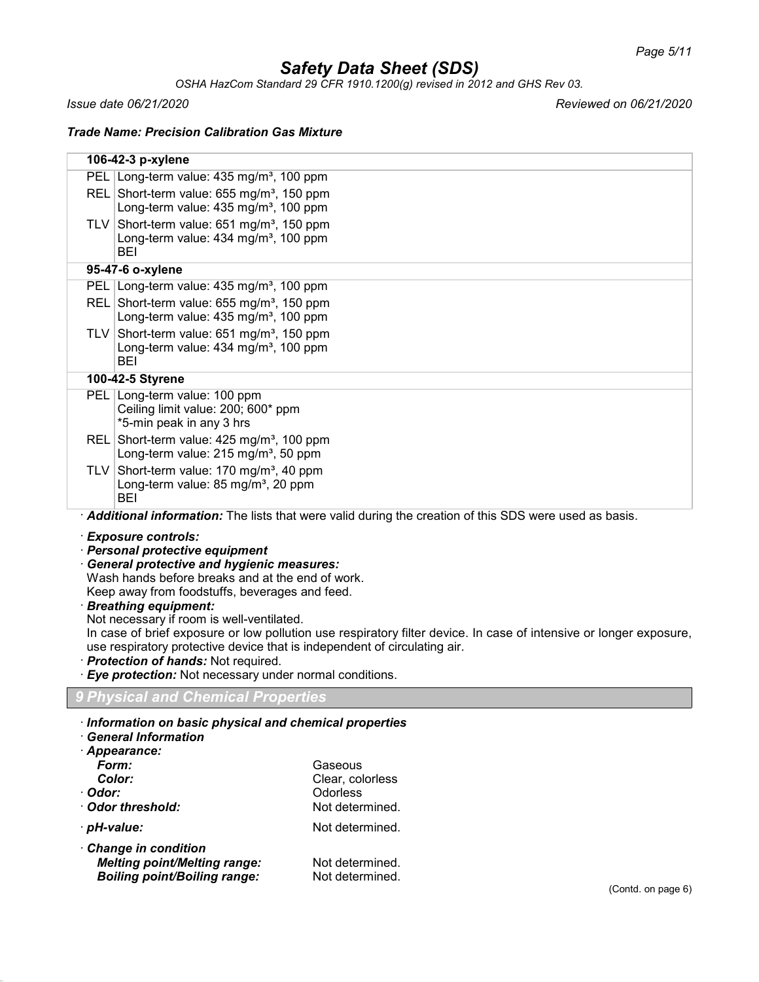*OSHA HazCom Standard 29 CFR 1910.1200(g) revised in 2012 and GHS Rev 03.*

*Issue date 06/21/2020 Reviewed on 06/21/2020*

*Trade Name: Precision Calibration Gas Mixture*

|                                                                                                                                                                                                                                                                                                                                                                                                                                                                                                                                                                                            | 106-42-3 p-xylene                                                                                                   |                                                                                                       |  |
|--------------------------------------------------------------------------------------------------------------------------------------------------------------------------------------------------------------------------------------------------------------------------------------------------------------------------------------------------------------------------------------------------------------------------------------------------------------------------------------------------------------------------------------------------------------------------------------------|---------------------------------------------------------------------------------------------------------------------|-------------------------------------------------------------------------------------------------------|--|
|                                                                                                                                                                                                                                                                                                                                                                                                                                                                                                                                                                                            | PEL Long-term value: 435 mg/m <sup>3</sup> , 100 ppm                                                                |                                                                                                       |  |
|                                                                                                                                                                                                                                                                                                                                                                                                                                                                                                                                                                                            | REL Short-term value: 655 mg/m <sup>3</sup> , 150 ppm<br>Long-term value: 435 mg/m <sup>3</sup> , 100 ppm           |                                                                                                       |  |
| <b>TLV</b>                                                                                                                                                                                                                                                                                                                                                                                                                                                                                                                                                                                 | Short-term value: 651 mg/m <sup>3</sup> , 150 ppm<br>Long-term value: 434 mg/m <sup>3</sup> , 100 ppm<br><b>BEI</b> |                                                                                                       |  |
|                                                                                                                                                                                                                                                                                                                                                                                                                                                                                                                                                                                            | 95-47-6 o-xylene                                                                                                    |                                                                                                       |  |
|                                                                                                                                                                                                                                                                                                                                                                                                                                                                                                                                                                                            | PEL Long-term value: 435 mg/m <sup>3</sup> , 100 ppm                                                                |                                                                                                       |  |
|                                                                                                                                                                                                                                                                                                                                                                                                                                                                                                                                                                                            | REL Short-term value: 655 mg/m <sup>3</sup> , 150 ppm<br>Long-term value: 435 mg/m <sup>3</sup> , 100 ppm           |                                                                                                       |  |
|                                                                                                                                                                                                                                                                                                                                                                                                                                                                                                                                                                                            | TLV Short-term value: $651 \text{ mg/m}^3$ , 150 ppm<br>Long-term value: 434 mg/m <sup>3</sup> , 100 ppm<br>BEI     |                                                                                                       |  |
|                                                                                                                                                                                                                                                                                                                                                                                                                                                                                                                                                                                            | 100-42-5 Styrene                                                                                                    |                                                                                                       |  |
|                                                                                                                                                                                                                                                                                                                                                                                                                                                                                                                                                                                            | PEL Long-term value: 100 ppm<br>Ceiling limit value: 200; 600* ppm<br>*5-min peak in any 3 hrs                      |                                                                                                       |  |
|                                                                                                                                                                                                                                                                                                                                                                                                                                                                                                                                                                                            | REL Short-term value: 425 mg/m <sup>3</sup> , 100 ppm<br>Long-term value: 215 mg/m <sup>3</sup> , 50 ppm            |                                                                                                       |  |
| <b>TLV</b>                                                                                                                                                                                                                                                                                                                                                                                                                                                                                                                                                                                 | Short-term value: 170 mg/m <sup>3</sup> , 40 ppm<br>Long-term value: 85 mg/m <sup>3</sup> , 20 ppm<br><b>BEI</b>    |                                                                                                       |  |
|                                                                                                                                                                                                                                                                                                                                                                                                                                                                                                                                                                                            |                                                                                                                     | Additional information: The lists that were valid during the creation of this SDS were used as basis. |  |
| · Exposure controls:<br>· Personal protective equipment<br>· General protective and hygienic measures:<br>Wash hands before breaks and at the end of work.<br>Keep away from foodstuffs, beverages and feed.<br>· Breathing equipment:<br>Not necessary if room is well-ventilated.<br>In case of brief exposure or low pollution use respiratory filter device. In case of intensive or longer exposure,<br>use respiratory protective device that is independent of circulating air.<br>· Protection of hands: Not required.<br>· Eye protection: Not necessary under normal conditions. |                                                                                                                     |                                                                                                       |  |
|                                                                                                                                                                                                                                                                                                                                                                                                                                                                                                                                                                                            | <b>9 Physical and Chemical Properties</b>                                                                           |                                                                                                       |  |
|                                                                                                                                                                                                                                                                                                                                                                                                                                                                                                                                                                                            | Information on basic physical and chemical properties<br>· General Information<br>· Appearance:<br>Form:<br>Color:  | Gaseous<br>Clear, colorless                                                                           |  |
| · Odor:                                                                                                                                                                                                                                                                                                                                                                                                                                                                                                                                                                                    | Odor threshold:                                                                                                     | Odorless<br>Not determined.                                                                           |  |
| · pH-value:                                                                                                                                                                                                                                                                                                                                                                                                                                                                                                                                                                                |                                                                                                                     | Not determined.                                                                                       |  |

· *Change in condition* **Melting point/Melting range:** Not determined.<br> **Boiling point/Boiling range:** Not determined. **Boiling point/Boiling range:**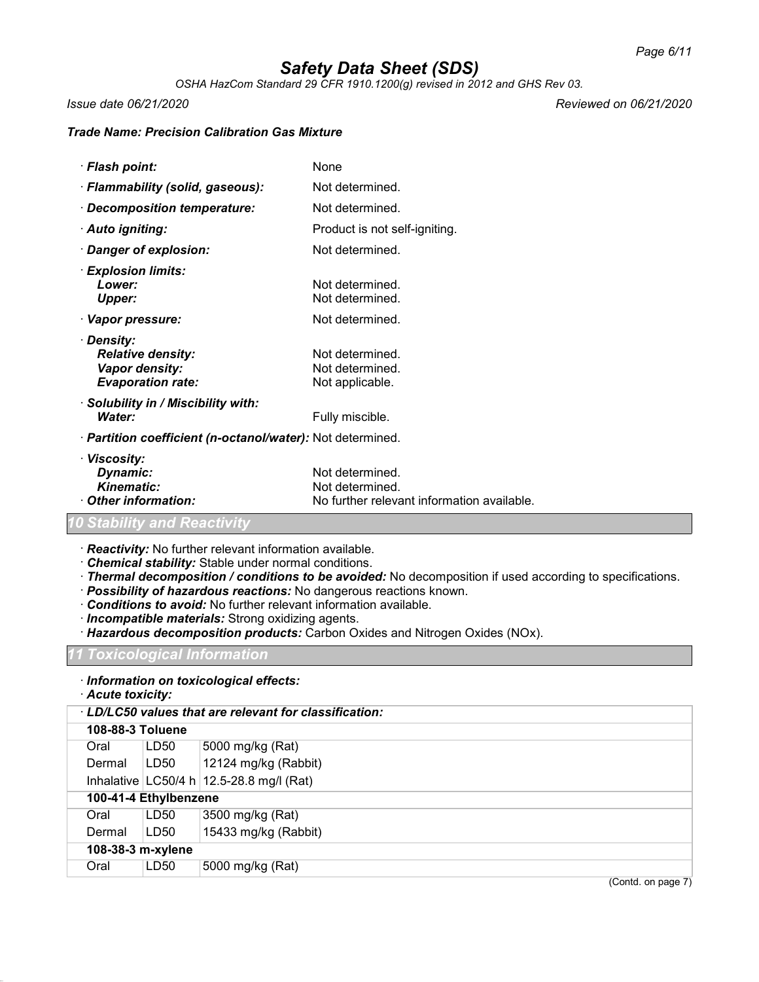*OSHA HazCom Standard 29 CFR 1910.1200(g) revised in 2012 and GHS Rev 03.*

### *Trade Name: Precision Calibration Gas Mixture*

| · Flash point:                                                                       | None                                                                             |
|--------------------------------------------------------------------------------------|----------------------------------------------------------------------------------|
| · Flammability (solid, gaseous):                                                     | Not determined.                                                                  |
| · Decomposition temperature:                                                         | Not determined.                                                                  |
| · Auto igniting:                                                                     | Product is not self-igniting.                                                    |
| · Danger of explosion:                                                               | Not determined.                                                                  |
| · Explosion limits:<br>Lower:<br><b>Upper:</b>                                       | Not determined.<br>Not determined.                                               |
| · Vapor pressure:                                                                    | Not determined.                                                                  |
| · Density:<br><b>Relative density:</b><br>Vapor density:<br><b>Evaporation rate:</b> | Not determined.<br>Not determined.<br>Not applicable.                            |
| · Solubility in / Miscibility with:<br>Water:                                        | Fully miscible.                                                                  |
| · Partition coefficient (n-octanol/water): Not determined.                           |                                                                                  |
| · Viscosity:<br>Dynamic:<br><b>Kinematic:</b><br>Other information:                  | Not determined.<br>Not determined.<br>No further relevant information available. |
|                                                                                      |                                                                                  |

### *10 Stability and Reactivity*

· *Reactivity:* No further relevant information available.

- · *Chemical stability:* Stable under normal conditions.
- · *Thermal decomposition / conditions to be avoided:* No decomposition if used according to specifications.
- · *Possibility of hazardous reactions:* No dangerous reactions known.
- · *Conditions to avoid:* No further relevant information available.
- · *Incompatible materials:* Strong oxidizing agents.
- · *Hazardous decomposition products:* Carbon Oxides and Nitrogen Oxides (NOx).

### *11 Toxicological Information*

· *Information on toxicological effects:*

· *Acute toxicity:*

| LD/LC50 values that are relevant for classification: |      |                                              |  |
|------------------------------------------------------|------|----------------------------------------------|--|
| 108-88-3 Toluene                                     |      |                                              |  |
| Oral                                                 | LD50 | 5000 mg/kg (Rat)                             |  |
| Dermal                                               | LD50 | 12124 mg/kg (Rabbit)                         |  |
|                                                      |      | Inhalative $ LG50/4 h $ 12.5-28.8 mg/l (Rat) |  |
| 100-41-4 Ethylbenzene                                |      |                                              |  |
| Oral                                                 | LD50 | 3500 mg/kg (Rat)                             |  |
| Dermal                                               | LD50 | 15433 mg/kg (Rabbit)                         |  |
| 108-38-3 m-xylene                                    |      |                                              |  |
| Oral                                                 | LD50 | 5000 mg/kg (Rat)                             |  |

*Issue date 06/21/2020 Reviewed on 06/21/2020*

(Contd. on page 7)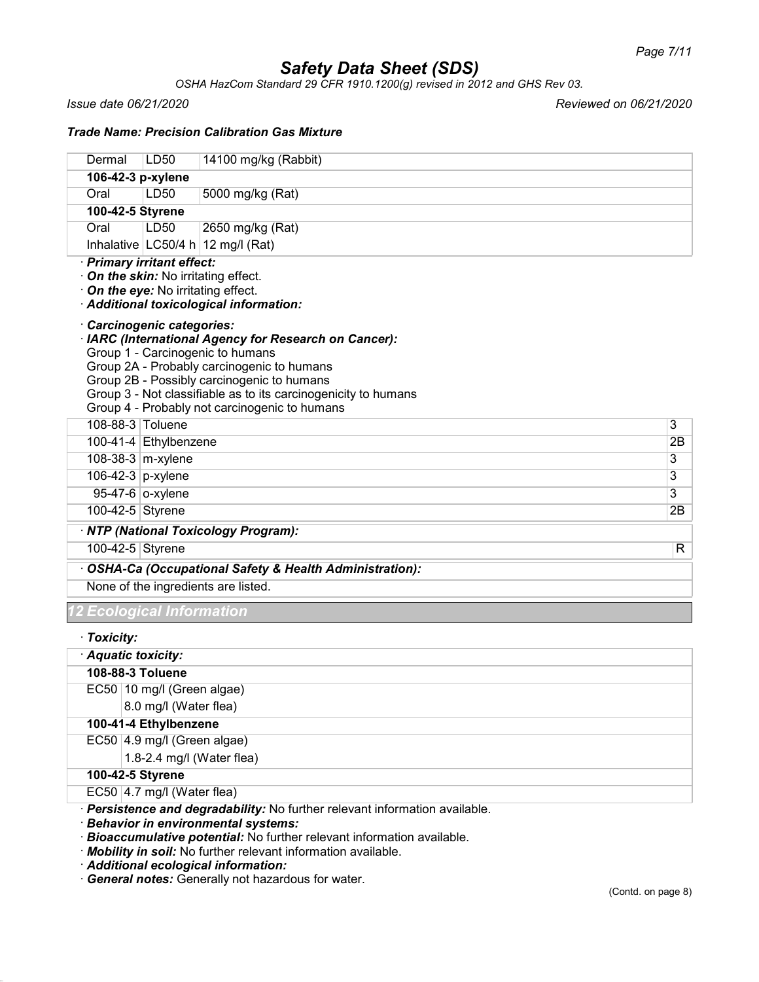*OSHA HazCom Standard 29 CFR 1910.1200(g) revised in 2012 and GHS Rev 03.*

*Issue date 06/21/2020 Reviewed on 06/21/2020*

### *Trade Name: Precision Calibration Gas Mixture*

| Dermal                     | LD <sub>50</sub>            | 14100 mg/kg (Rabbit)                                                    |                     |
|----------------------------|-----------------------------|-------------------------------------------------------------------------|---------------------|
| 106-42-3 p-xylene          |                             |                                                                         |                     |
| Oral                       | <b>LD50</b>                 | 5000 mg/kg (Rat)                                                        |                     |
| 100-42-5 Styrene           |                             |                                                                         |                     |
| Oral                       | LD50                        | 2650 mg/kg (Rat)                                                        |                     |
|                            |                             | Inhalative $ LG50/4 h 12 mg/l$ (Rat)                                    |                     |
| · Primary irritant effect: |                             |                                                                         |                     |
|                            |                             | On the skin: No irritating effect.<br>On the eye: No irritating effect. |                     |
|                            |                             | · Additional toxicological information:                                 |                     |
|                            |                             |                                                                         |                     |
| Carcinogenic categories:   |                             | · IARC (International Agency for Research on Cancer):                   |                     |
|                            |                             | Group 1 - Carcinogenic to humans                                        |                     |
|                            |                             | Group 2A - Probably carcinogenic to humans                              |                     |
|                            |                             | Group 2B - Possibly carcinogenic to humans                              |                     |
|                            |                             | Group 3 - Not classifiable as to its carcinogenicity to humans          |                     |
| 108-88-3 Toluene           |                             | Group 4 - Probably not carcinogenic to humans                           | 3                   |
|                            | 100-41-4 Ethylbenzene       |                                                                         | 2B                  |
| 108-38-3 m-xylene          |                             |                                                                         |                     |
| 106-42-3 p-xylene          |                             |                                                                         | 3                   |
|                            | 95-47-6 o-xylene            |                                                                         | 3<br>$\overline{3}$ |
|                            |                             |                                                                         | 2B                  |
| 100-42-5 Styrene           |                             |                                                                         |                     |
|                            |                             | · NTP (National Toxicology Program):                                    |                     |
| 100-42-5 Styrene           |                             |                                                                         | R                   |
|                            |                             | OSHA-Ca (Occupational Safety & Health Administration):                  |                     |
|                            |                             | None of the ingredients are listed.                                     |                     |
| 12 Ecological Information  |                             |                                                                         |                     |
| · Toxicity:                |                             |                                                                         |                     |
| Aquatic toxicity:          |                             |                                                                         |                     |
| 108-88-3 Toluene           |                             |                                                                         |                     |
|                            | EC50 10 mg/l (Green algae)  |                                                                         |                     |
|                            | 8.0 mg/l (Water flea)       |                                                                         |                     |
|                            | 100-41-4 Ethylbenzene       |                                                                         |                     |
|                            | EC50 4.9 mg/l (Green algae) |                                                                         |                     |
|                            |                             | 1.8-2.4 mg/l (Water flea)                                               |                     |
| 100-42-5 Styrene           |                             |                                                                         |                     |

EC50 4.7 mg/l (Water flea)

· *Persistence and degradability:* No further relevant information available.

· *Behavior in environmental systems:*

- · *Bioaccumulative potential:* No further relevant information available.
- · *Mobility in soil:* No further relevant information available.
- · *Additional ecological information:*

· *General notes:* Generally not hazardous for water.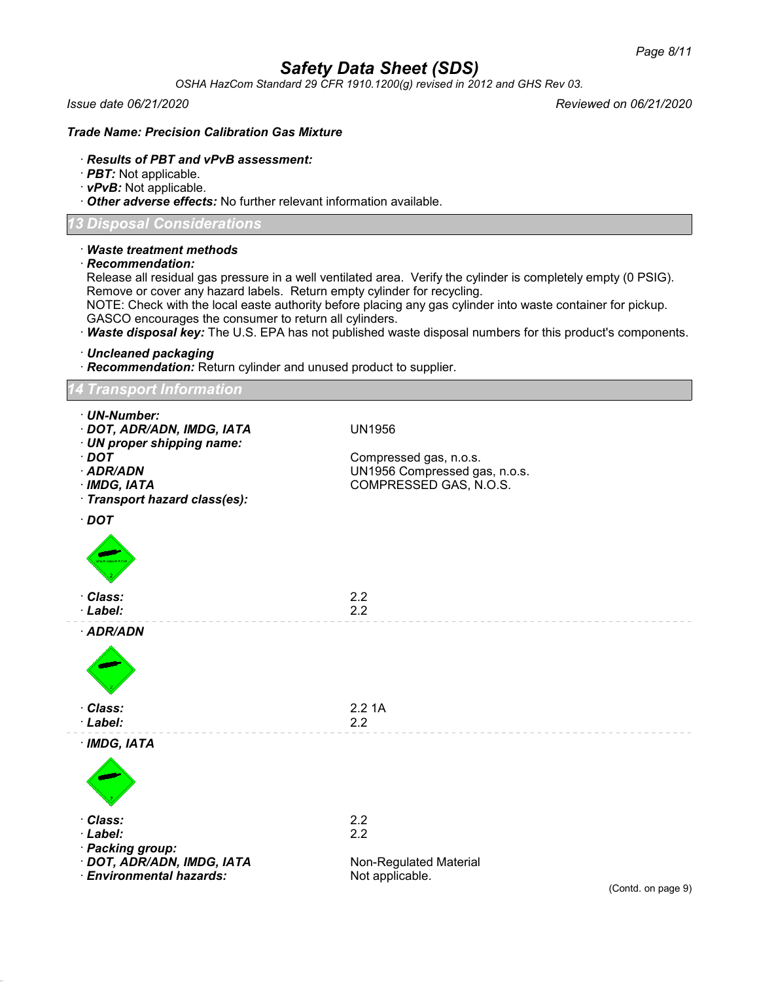*OSHA HazCom Standard 29 CFR 1910.1200(g) revised in 2012 and GHS Rev 03.*

*Issue date 06/21/2020 Reviewed on 06/21/2020*

### *Trade Name: Precision Calibration Gas Mixture*

### · *Results of PBT and vPvB assessment:*

- · *PBT:* Not applicable.
- · *vPvB:* Not applicable.

· *Other adverse effects:* No further relevant information available.

### *13 Disposal Considerations*

| Disposal Considerations                                                                                                                                                                                                                                                                                                                                                                                                                                                                                                                        |                                                                                   |  |  |
|------------------------------------------------------------------------------------------------------------------------------------------------------------------------------------------------------------------------------------------------------------------------------------------------------------------------------------------------------------------------------------------------------------------------------------------------------------------------------------------------------------------------------------------------|-----------------------------------------------------------------------------------|--|--|
| $\cdot$ Waste treatment methods<br>$\cdot$ Recommendation:<br>Release all residual gas pressure in a well ventilated area. Verify the cylinder is completely empty (0 PSIG).<br>Remove or cover any hazard labels. Return empty cylinder for recycling.<br>NOTE: Check with the local easte authority before placing any gas cylinder into waste container for pickup.<br>GASCO encourages the consumer to return all cylinders.<br>· Waste disposal key: The U.S. EPA has not published waste disposal numbers for this product's components. |                                                                                   |  |  |
| · Uncleaned packaging<br>· Recommendation: Return cylinder and unused product to supplier.                                                                                                                                                                                                                                                                                                                                                                                                                                                     |                                                                                   |  |  |
| <b>Transport Information</b>                                                                                                                                                                                                                                                                                                                                                                                                                                                                                                                   |                                                                                   |  |  |
| · UN-Number:<br>· DOT, ADR/ADN, IMDG, IATA<br>· UN proper shipping name:                                                                                                                                                                                                                                                                                                                                                                                                                                                                       | <b>UN1956</b>                                                                     |  |  |
| $\cdot$ DOT<br>· ADR/ADN<br>· IMDG, IATA<br>· Transport hazard class(es):                                                                                                                                                                                                                                                                                                                                                                                                                                                                      | Compressed gas, n.o.s.<br>UN1956 Compressed gas, n.o.s.<br>COMPRESSED GAS, N.O.S. |  |  |
| $\cdot$ DOT                                                                                                                                                                                                                                                                                                                                                                                                                                                                                                                                    |                                                                                   |  |  |
|                                                                                                                                                                                                                                                                                                                                                                                                                                                                                                                                                |                                                                                   |  |  |
| Class:<br>· Label:                                                                                                                                                                                                                                                                                                                                                                                                                                                                                                                             | 2.2<br>2.2                                                                        |  |  |
| · ADR/ADN                                                                                                                                                                                                                                                                                                                                                                                                                                                                                                                                      |                                                                                   |  |  |
|                                                                                                                                                                                                                                                                                                                                                                                                                                                                                                                                                |                                                                                   |  |  |
| Class:<br>· Label:                                                                                                                                                                                                                                                                                                                                                                                                                                                                                                                             | 2.21A<br>2.2                                                                      |  |  |
| $·$ IMDG, IATA                                                                                                                                                                                                                                                                                                                                                                                                                                                                                                                                 |                                                                                   |  |  |
|                                                                                                                                                                                                                                                                                                                                                                                                                                                                                                                                                |                                                                                   |  |  |
| Class:<br>· Label:<br>· Packing group:                                                                                                                                                                                                                                                                                                                                                                                                                                                                                                         | 2.2<br>2.2                                                                        |  |  |
| · DOT, ADR/ADN, IMDG, IATA                                                                                                                                                                                                                                                                                                                                                                                                                                                                                                                     | Non-Regulated Material                                                            |  |  |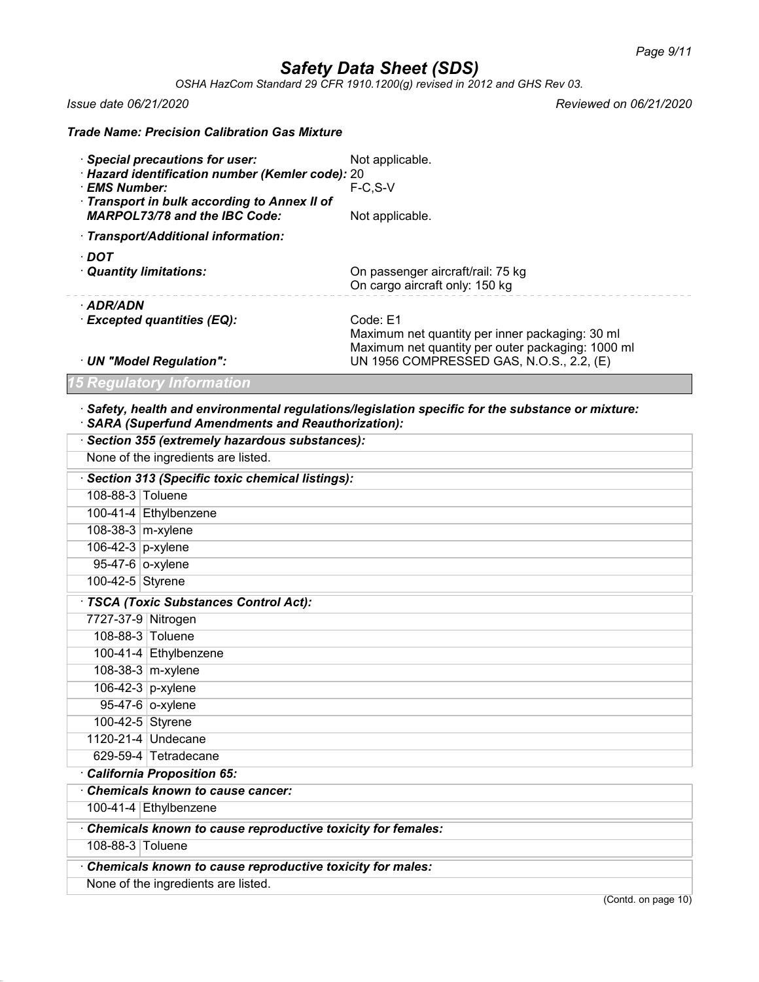*OSHA HazCom Standard 29 CFR 1910.1200(g) revised in 2012 and GHS Rev 03.*

*Trade Name: Precision Calibration Gas Mixture*

*Issue date 06/21/2020 Reviewed on 06/21/2020*

| · Special precautions for user:<br>· EMS Number:<br><b>MARPOL73/78 and the IBC Code:</b> | · Hazard identification number (Kemler code): 20<br>Transport in bulk according to Annex II of | Not applicable.<br>$F-C.S-V$<br>Not applicable.                                                                                                              |
|------------------------------------------------------------------------------------------|------------------------------------------------------------------------------------------------|--------------------------------------------------------------------------------------------------------------------------------------------------------------|
| · Transport/Additional information:                                                      |                                                                                                |                                                                                                                                                              |
| · DOT<br>· Quantity limitations:                                                         |                                                                                                | On passenger aircraft/rail: 75 kg<br>On cargo aircraft only: 150 kg                                                                                          |
| · ADR/ADN<br>$\cdot$ Excepted quantities (EQ):<br>· UN "Model Regulation":               |                                                                                                | Code: E1<br>Maximum net quantity per inner packaging: 30 ml<br>Maximum net quantity per outer packaging: 1000 ml<br>UN 1956 COMPRESSED GAS, N.O.S., 2.2, (E) |
| <b>15 Regulatory Information</b>                                                         |                                                                                                |                                                                                                                                                              |

#### · *Safety, health and environmental regulations/legislation specific for the substance or mixture:* · *SARA (Superfund Amendments and Reauthorization):*

|                   | Section 355 (extremely hazardous substances):               |  |  |  |
|-------------------|-------------------------------------------------------------|--|--|--|
|                   | None of the ingredients are listed.                         |  |  |  |
|                   | · Section 313 (Specific toxic chemical listings):           |  |  |  |
| 108-88-3 Toluene  |                                                             |  |  |  |
|                   | 100-41-4 Ethylbenzene                                       |  |  |  |
| 108-38-3 m-xylene |                                                             |  |  |  |
| 106-42-3 p-xylene |                                                             |  |  |  |
| 95-47-6 o-xylene  |                                                             |  |  |  |
| 100-42-5 Styrene  |                                                             |  |  |  |
|                   | · TSCA (Toxic Substances Control Act):                      |  |  |  |
|                   | 7727-37-9 Nitrogen                                          |  |  |  |
|                   | 108-88-3 Toluene                                            |  |  |  |
|                   | 100-41-4 Ethylbenzene                                       |  |  |  |
|                   | 108-38-3 m-xylene                                           |  |  |  |
|                   | 106-42-3 p-xylene                                           |  |  |  |
|                   | 95-47-6 o-xylene                                            |  |  |  |
|                   | 100-42-5 Styrene                                            |  |  |  |
|                   | 1120-21-4 Undecane                                          |  |  |  |
|                   | 629-59-4 Tetradecane                                        |  |  |  |
|                   | California Proposition 65:                                  |  |  |  |
|                   | Chemicals known to cause cancer:                            |  |  |  |
|                   | 100-41-4 Ethylbenzene                                       |  |  |  |
|                   | Chemicals known to cause reproductive toxicity for females: |  |  |  |
| 108-88-3 Toluene  |                                                             |  |  |  |
|                   | Chemicals known to cause reproductive toxicity for males:   |  |  |  |
|                   | None of the ingredients are listed.                         |  |  |  |
|                   | (Contd. on page 10)                                         |  |  |  |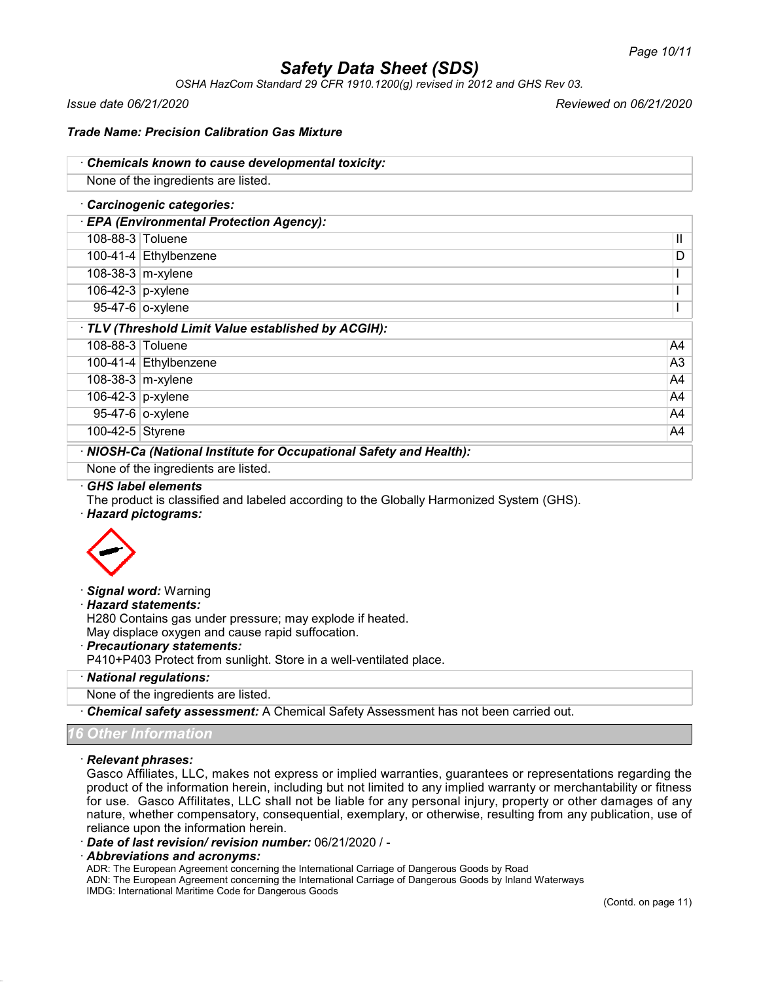*OSHA HazCom Standard 29 CFR 1910.1200(g) revised in 2012 and GHS Rev 03.*

*Issue date 06/21/2020 Reviewed on 06/21/2020*

#### *Trade Name: Precision Calibration Gas Mixture*

| Chemicals known to cause developmental toxicity:    |                                          |                |  |  |  |
|-----------------------------------------------------|------------------------------------------|----------------|--|--|--|
| None of the ingredients are listed.                 |                                          |                |  |  |  |
| Carcinogenic categories:                            |                                          |                |  |  |  |
|                                                     | · EPA (Environmental Protection Agency): |                |  |  |  |
| 108-88-3 Toluene                                    |                                          | Ш              |  |  |  |
|                                                     | 100-41-4 Ethylbenzene                    | D              |  |  |  |
| 108-38-3 m-xylene                                   |                                          |                |  |  |  |
| 106-42-3 p-xylene                                   |                                          |                |  |  |  |
|                                                     | 95-47-6 o-xylene                         |                |  |  |  |
| · TLV (Threshold Limit Value established by ACGIH): |                                          |                |  |  |  |
| 108-88-3 Toluene                                    |                                          | A4             |  |  |  |
|                                                     | 100-41-4 Ethylbenzene                    | A <sub>3</sub> |  |  |  |
| 108-38-3 $m$ -xylene                                |                                          | A4             |  |  |  |
| 106-42-3 p-xylene                                   |                                          | A4             |  |  |  |
|                                                     | 95-47-6 o-xylene                         | A4             |  |  |  |
| 100-42-5 Styrene                                    |                                          | A4             |  |  |  |

· *NIOSH-Ca (National Institute for Occupational Safety and Health):*

### None of the ingredients are listed.

#### · *GHS label elements*

The product is classified and labeled according to the Globally Harmonized System (GHS).

#### · *Hazard pictograms:*



· *Signal word:* Warning

· *Hazard statements:*

H280 Contains gas under pressure; may explode if heated.

May displace oxygen and cause rapid suffocation.

### · *Precautionary statements:*

P410+P403 Protect from sunlight. Store in a well-ventilated place.

· *National regulations:*

### None of the ingredients are listed.

· *Chemical safety assessment:* A Chemical Safety Assessment has not been carried out.

### *Other Informat*

### · *Relevant phrases:*

Gasco Affiliates, LLC, makes not express or implied warranties, guarantees or representations regarding the product of the information herein, including but not limited to any implied warranty or merchantability or fitness for use. Gasco Affilitates, LLC shall not be liable for any personal injury, property or other damages of any nature, whether compensatory, consequential, exemplary, or otherwise, resulting from any publication, use of reliance upon the information herein.

- · *Date of last revision/ revision number:* 06/21/2020 / -
- · *Abbreviations and acronyms:*

ADR: The European Agreement concerning the International Carriage of Dangerous Goods by Road ADN: The European Agreement concerning the International Carriage of Dangerous Goods by Inland Waterways IMDG: International Maritime Code for Dangerous Goods